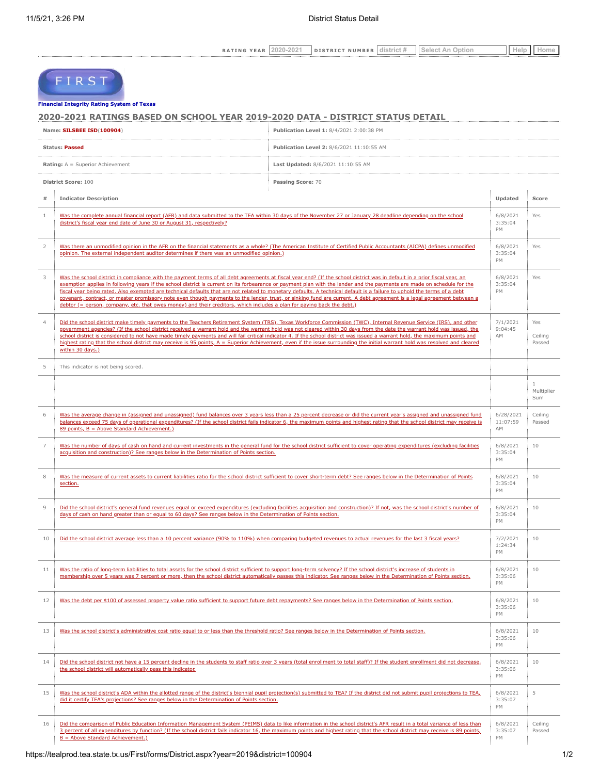| $\gamma$ cape            | 0.00 | DIS                                                        | $=$ $-$<br>.<br>.                    | $\sim$ |  |
|--------------------------|------|------------------------------------------------------------|--------------------------------------|--------|--|
| ------------------------ |      | -----------------------------------<br>------------------- | --------------------------------<br> |        |  |

# FIRST

## **[Financial Integrity Rating Syste](https://tealprod.tea.state.tx.us/First/forms/Main.aspx)m of Texas**

**2020-2021 RATINGS BASED ON SCHOOL YEAR 2019-2020 DATA - DISTRICT STATUS DETAIL**

| Name: SILSBEE ISD(100904)<br>Publication Level 1: 8/4/2021 2:00:38 PM |                                                                                                                                                                                                                                                                                                                                                                                                                                                                                                                                                                                                                                                                                                                                                                                                                                    |                                                                                                                                                                             |                             |                          |
|-----------------------------------------------------------------------|------------------------------------------------------------------------------------------------------------------------------------------------------------------------------------------------------------------------------------------------------------------------------------------------------------------------------------------------------------------------------------------------------------------------------------------------------------------------------------------------------------------------------------------------------------------------------------------------------------------------------------------------------------------------------------------------------------------------------------------------------------------------------------------------------------------------------------|-----------------------------------------------------------------------------------------------------------------------------------------------------------------------------|-----------------------------|--------------------------|
|                                                                       | Publication Level 2: 8/6/2021 11:10:55 AM<br><b>Status: Passed</b>                                                                                                                                                                                                                                                                                                                                                                                                                                                                                                                                                                                                                                                                                                                                                                 |                                                                                                                                                                             |                             |                          |
|                                                                       | <b>Rating:</b> A = Superior Achievement<br>Last Updated: 8/6/2021 11:10:55 AM                                                                                                                                                                                                                                                                                                                                                                                                                                                                                                                                                                                                                                                                                                                                                      |                                                                                                                                                                             |                             |                          |
|                                                                       | District Score: 100<br>Passing Score: 70                                                                                                                                                                                                                                                                                                                                                                                                                                                                                                                                                                                                                                                                                                                                                                                           |                                                                                                                                                                             |                             |                          |
| $\#$                                                                  | <b>Indicator Description</b><br>Updated                                                                                                                                                                                                                                                                                                                                                                                                                                                                                                                                                                                                                                                                                                                                                                                            |                                                                                                                                                                             |                             | Score                    |
| $\mathbf{1}$                                                          | Was the complete annual financial report (AFR) and data submitted to the TEA within 30 days of the November 27 or January 28 deadline depending on the school<br>district's fiscal year end date of June 30 or August 31, respectively?                                                                                                                                                                                                                                                                                                                                                                                                                                                                                                                                                                                            |                                                                                                                                                                             | 6/8/2021<br>3:35:04<br>PM   | Yes                      |
| 2                                                                     | Was there an unmodified opinion in the AFR on the financial statements as a whole? (The American Institute of Certified Public Accountants (AICPA) defines unmodified<br>opinion. The external independent auditor determines if there was an unmodified opinion.)                                                                                                                                                                                                                                                                                                                                                                                                                                                                                                                                                                 |                                                                                                                                                                             | 6/8/2021<br>3:35:04<br>PM   | Yes                      |
| 3                                                                     | Was the school district in compliance with the payment terms of all debt agreements at fiscal year end? (If the school district was in default in a prior fiscal year, an<br>exemption applies in following years if the school district is current on its forbearance or payment plan with the lender and the payments are made on schedule for the<br>fiscal year being rated. Also exempted are technical defaults that are not related to monetary defaults. A technical default is a failure to uphold the terms of a debt<br>covenant, contract, or master promissory note even though payments to the lender, trust, or sinking fund are current. A debt agreement is a legal agreement between a<br>debtor (= person, company, etc. that owes money) and their creditors, which includes a plan for paying back the debt.) |                                                                                                                                                                             |                             | Yes                      |
| $\overline{4}$                                                        | Did the school district make timely payments to the Teachers Retirement System (TRS), Texas Workforce Commission (TWC), Internal Revenue Service (IRS), and other<br>government agencies? (If the school district received a warrant hold and the warrant hold was not cleared within 30 days from the date the warrant hold was issued, the<br>school district is considered to not have made timely payments and will fail critical indicator 4. If the school district was issued a warrant hold, the maximum points and<br>highest rating that the school district may receive is 95 points, A = Superior Achievement, even if the issue surrounding the initial warrant hold was resolved and cleared<br>within 30 days.)                                                                                                     |                                                                                                                                                                             |                             | Yes<br>Ceiling<br>Passed |
| 5                                                                     | This indicator is not being scored.                                                                                                                                                                                                                                                                                                                                                                                                                                                                                                                                                                                                                                                                                                                                                                                                |                                                                                                                                                                             |                             |                          |
|                                                                       |                                                                                                                                                                                                                                                                                                                                                                                                                                                                                                                                                                                                                                                                                                                                                                                                                                    |                                                                                                                                                                             |                             | 1<br>Multiplier<br>Sum   |
| 6                                                                     | Was the average change in (assigned and unassigned) fund balances over 3 years less than a 25 percent decrease or did the current year's assigned and unassigned fund<br>balances exceed 75 days of operational expenditures? (If the school district fails indicator 6, the maximum points and highest rating that the school district may receive is<br>89 points, B = Above Standard Achievement.)                                                                                                                                                                                                                                                                                                                                                                                                                              |                                                                                                                                                                             | 6/28/2021<br>11:07:59<br>AM | Ceiling<br>Passed        |
| $\overline{7}$                                                        | acquisition and construction)? See ranges below in the Determination of Points section.                                                                                                                                                                                                                                                                                                                                                                                                                                                                                                                                                                                                                                                                                                                                            | Was the number of days of cash on hand and current investments in the general fund for the school district sufficient to cover operating expenditures (excluding facilities | 6/8/2021<br>3:35:04<br>PM   | 10                       |
| 8                                                                     | Was the measure of current assets to current liabilities ratio for the school district sufficient to cover short-term debt? See ranges below in the Determination of Points<br>section.                                                                                                                                                                                                                                                                                                                                                                                                                                                                                                                                                                                                                                            |                                                                                                                                                                             | 6/8/2021<br>3:35:04<br>PM   | 10                       |
| 9                                                                     | Did the school district's general fund revenues equal or exceed expenditures (excluding facilities acquisition and construction)? If not, was the school district's number of<br>days of cash on hand greater than or equal to 60 days? See ranges below in the Determination of Points section.                                                                                                                                                                                                                                                                                                                                                                                                                                                                                                                                   |                                                                                                                                                                             | 6/8/2021<br>3:35:04<br>PM   | 10                       |
| 10                                                                    | Did the school district average less than a 10 percent variance (90% to 110%) when comparing budgeted revenues to actual revenues for the last 3 fiscal years?                                                                                                                                                                                                                                                                                                                                                                                                                                                                                                                                                                                                                                                                     |                                                                                                                                                                             | 7/2/2021<br>1:24:34<br>PM   | 10                       |
| 11                                                                    | Was the ratio of long-term liabilities to total assets for the school district sufficient to support long-term solvency? If the school district's increase of students in<br>membership over 5 years was 7 percent or more, then the school district automatically passes this indicator. See ranges below in the Determination of Points section.                                                                                                                                                                                                                                                                                                                                                                                                                                                                                 |                                                                                                                                                                             | 6/8/2021<br>3:35:06<br>PM   | 10                       |
| 12                                                                    | Was the debt per \$100 of assessed property value ratio sufficient to support future debt repayments? See ranges below in the Determination of Points section.                                                                                                                                                                                                                                                                                                                                                                                                                                                                                                                                                                                                                                                                     |                                                                                                                                                                             | 6/8/2021<br>3:35:06<br>PM   | 10                       |
| 13                                                                    | Was the school district's administrative cost ratio equal to or less than the threshold ratio? See ranges below in the Determination of Points section.                                                                                                                                                                                                                                                                                                                                                                                                                                                                                                                                                                                                                                                                            |                                                                                                                                                                             | 6/8/2021<br>3:35:06<br>PM   | 10                       |
| 14                                                                    | Did the school district not have a 15 percent decline in the students to staff ratio over 3 years (total enrollment to total staff)? If the student enrollment did not decrease,<br>the school district will automatically pass this indicator.                                                                                                                                                                                                                                                                                                                                                                                                                                                                                                                                                                                    |                                                                                                                                                                             | 6/8/2021<br>3:35:06<br>PM   | 10                       |
| 15                                                                    | Was the school district's ADA within the allotted range of the district's biennial pupil projection(s) submitted to TEA? If the district did not submit pupil projections to TEA,<br>did it certify TEA's projections? See ranges below in the Determination of Points section.                                                                                                                                                                                                                                                                                                                                                                                                                                                                                                                                                    |                                                                                                                                                                             | 6/8/2021<br>3:35:07<br>PM   | 5                        |
| 16                                                                    | Did the comparison of Public Education Information Management System (PEIMS) data to like information in the school district's AFR result in a total variance of less than<br>3 percent of all expenditures by function? (If the school district fails indicator 16, the maximum points and highest rating that the school district may receive is 89 points,<br>$B =$ Above Standard Achievement.)                                                                                                                                                                                                                                                                                                                                                                                                                                |                                                                                                                                                                             | 6/8/2021<br>3:35:07<br>PM   | Ceiling<br>Passed        |